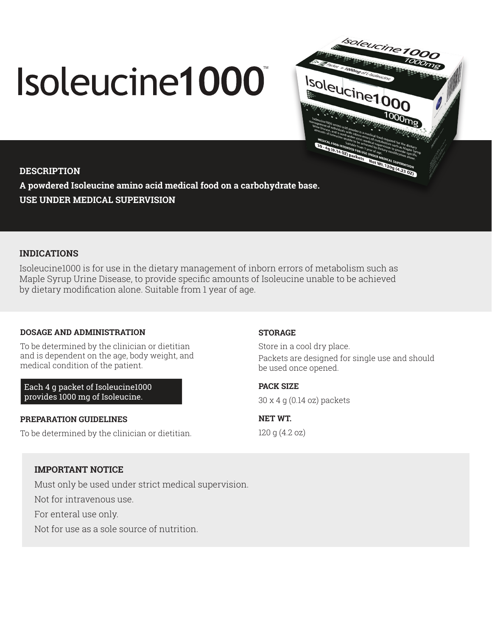# Isoleucine1000



**DESCRIPTION A powdered Isoleucine amino acid medical food on a carbohydrate base. USE UNDER MEDICAL SUPERVISION**

# **INDICATIONS**

Isoleucine1000 is for use in the dietary management of inborn errors of metabolism such as Maple Syrup Urine Disease, to provide specific amounts of Isoleucine unable to be achieved by dietary modification alone. Suitable from 1 year of age.

# **DOSAGE AND ADMINISTRATION**

To be determined by the clinician or dietitian and is dependent on the age, body weight, and medical condition of the patient.

Each 4 g packet of Isoleucine1000 provides 1000 mg of Isoleucine.

### **PREPARATION GUIDELINES**

To be determined by the clinician or dietitian.

### **STORAGE**

Store in a cool dry place. Packets are designed for single use and should be used once opened.

**PACK SIZE** 

30 x 4 g (0.14 oz) packets

**NET WT.**  120 g (4.2 oz)

# **IMPORTANT NOTICE**

Must only be used under strict medical supervision.

Not for intravenous use.

For enteral use only.

Not for use as a sole source of nutrition.